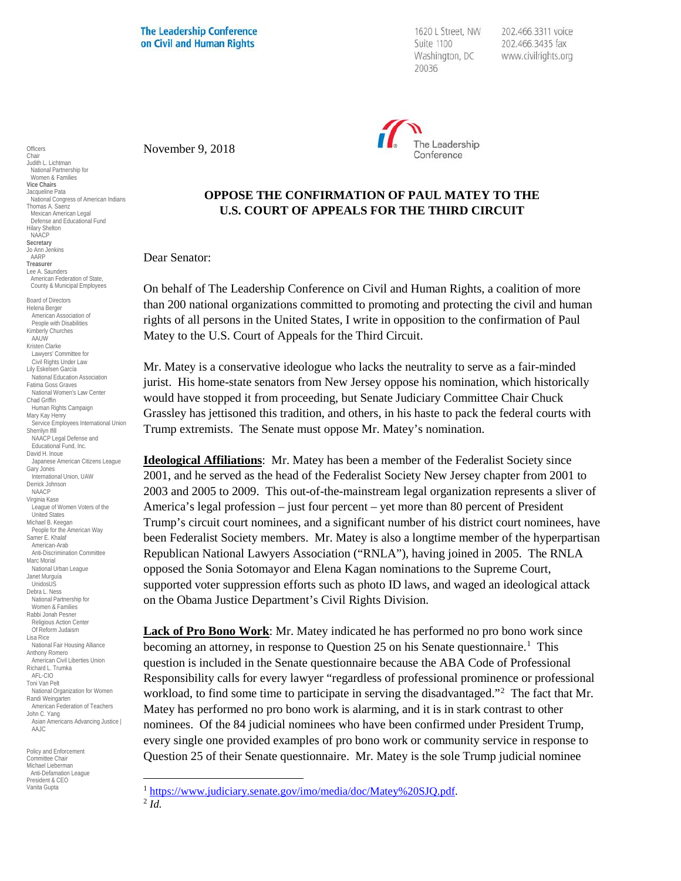**The Leadership Conference** on Civil and Human Rights

1620 L Street, NW Suite 1100 Washington, DC 20036

202.466.3311 voice 202.466.3435 fax www.civilrights.org



November 9, 2018

## **OPPOSE THE CONFIRMATION OF PAUL MATEY TO THE U.S. COURT OF APPEALS FOR THE THIRD CIRCUIT**

Dear Senator:

On behalf of The Leadership Conference on Civil and Human Rights, a coalition of more than 200 national organizations committed to promoting and protecting the civil and human rights of all persons in the United States, I write in opposition to the confirmation of Paul Matey to the U.S. Court of Appeals for the Third Circuit.

Mr. Matey is a conservative ideologue who lacks the neutrality to serve as a fair-minded jurist. His home-state senators from New Jersey oppose his nomination, which historically would have stopped it from proceeding, but Senate Judiciary Committee Chair Chuck Grassley has jettisoned this tradition, and others, in his haste to pack the federal courts with Trump extremists. The Senate must oppose Mr. Matey's nomination.

**Ideological Affiliations**: Mr. Matey has been a member of the Federalist Society since 2001, and he served as the head of the Federalist Society New Jersey chapter from 2001 to 2003 and 2005 to 2009. This out-of-the-mainstream legal organization represents a sliver of America's legal profession – just four percent – yet more than 80 percent of President Trump's circuit court nominees, and a significant number of his district court nominees, have been Federalist Society members. Mr. Matey is also a longtime member of the hyperpartisan Republican National Lawyers Association ("RNLA"), having joined in 2005. The RNLA opposed the Sonia Sotomayor and Elena Kagan nominations to the Supreme Court, supported voter suppression efforts such as photo ID laws, and waged an ideological attack on the Obama Justice Department's Civil Rights Division.

**Lack of Pro Bono Work**: Mr. Matey indicated he has performed no pro bono work since becoming an attorney, in response to Question 25 on his Senate questionnaire.<sup>[1](#page-0-0)</sup> This question is included in the Senate questionnaire because the ABA Code of Professional Responsibility calls for every lawyer "regardless of professional prominence or professional workload, to find some time to participate in serving the disadvantaged."<sup>[2](#page-0-1)</sup> The fact that Mr. Matey has performed no pro bono work is alarming, and it is in stark contrast to other nominees. Of the 84 judicial nominees who have been confirmed under President Trump, every single one provided examples of pro bono work or community service in response to Question 25 of their Senate questionnaire. Mr. Matey is the sole Trump judicial nominee

**Officers** Chair Judith L. Lichtman National Partnership for Women & Families **Vice Chairs** Jacqueline Pata National Congress of American Indians Thomas A. Saenz Mexican American Legal Defense and Educational Fund Hilary Shelton NAACP **Secretary** Jo Ann Jenkins AARP **Treasurer** Lee A. Saunders American Federation of State, County & Municipal Employees Board of Directors Helena Berger American Association of People with Disabilities Kimberly Churches AAUW Kristen Clarke Lawyers' Committee for Civil Rights Under Law Lily Eskelsen García National Education Association Fatima Goss Graves National Women's Law Center Chad Griffin Human Rights Campaign Mary Kay Henry Service Employees International Union Sherrilyn Ifill NAACP Legal Defense and Educational Fund, Inc. David H. Inoue Japanese American Citizens League Gary Jones International Union, UAW Derrick Johnson NAACP Virginia Kase League of Women Voters of the United States Michael B. Keegan People for the American Way Samer E. Khalaf American-Arab Anti-Discrimination Committee Marc Morial National Urban League Janet Murguía UnidosUS Debra L. Ness National Partnership for Women & Families Rabbi Jonah Pesner Religious Action Center Of Reform Judaism Lisa Rice National Fair Housing Alliance Anthony Romero American Civil Liberties Union Richard L. Trumka AFL-CIO Toni Van Pelt National Organization for Women Randi Weingarten American Federation of Teachers John C. Yang Asian Americans Advancing Justice | AAJC Policy and Enforcement

<span id="page-0-1"></span><span id="page-0-0"></span>Committee Chair Michael Lieberman Anti-Defamation League President & CEO Vanita Gupta

<sup>1</sup> [https://www.judiciary.senate.gov/imo/media/doc/Matey%20SJQ.pdf.](https://www.judiciary.senate.gov/imo/media/doc/Matey%20SJQ.pdf) 2 *Id.*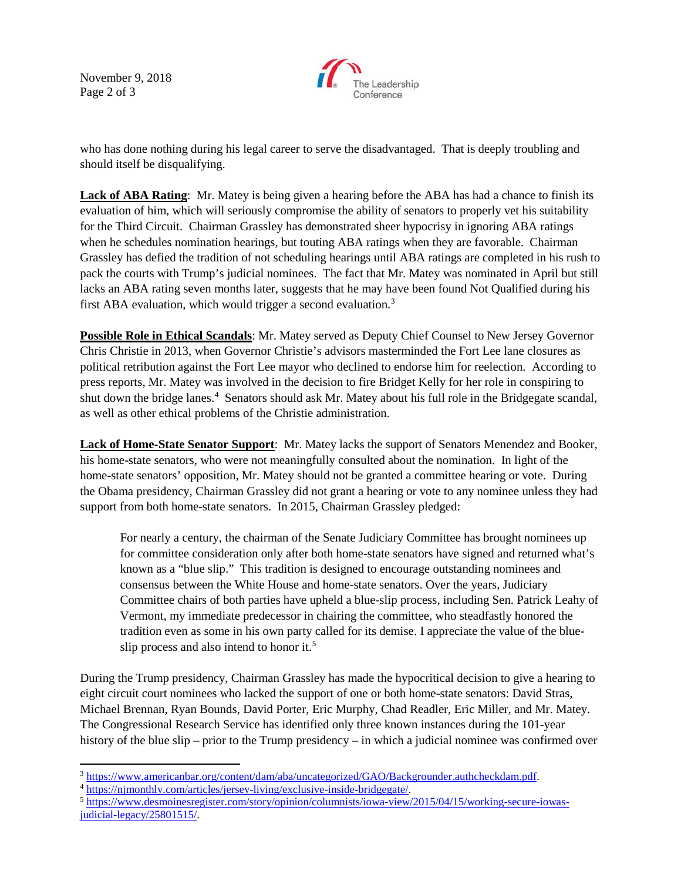November 9, 2018 Page 2 of 3



who has done nothing during his legal career to serve the disadvantaged. That is deeply troubling and should itself be disqualifying.

**Lack of ABA Rating**: Mr. Matey is being given a hearing before the ABA has had a chance to finish its evaluation of him, which will seriously compromise the ability of senators to properly vet his suitability for the Third Circuit. Chairman Grassley has demonstrated sheer hypocrisy in ignoring ABA ratings when he schedules nomination hearings, but touting ABA ratings when they are favorable. Chairman Grassley has defied the tradition of not scheduling hearings until ABA ratings are completed in his rush to pack the courts with Trump's judicial nominees. The fact that Mr. Matey was nominated in April but still lacks an ABA rating seven months later, suggests that he may have been found Not Qualified during his first ABA evaluation, which would trigger a second evaluation.<sup>[3](#page-1-0)</sup>

**Possible Role in Ethical Scandals**: Mr. Matey served as Deputy Chief Counsel to New Jersey Governor Chris Christie in 2013, when Governor Christie's advisors masterminded the Fort Lee lane closures as political retribution against the Fort Lee mayor who declined to endorse him for reelection. According to press reports, Mr. Matey was involved in the decision to fire Bridget Kelly for her role in conspiring to shut down the bridge lanes. [4](#page-1-1) Senators should ask Mr. Matey about his full role in the Bridgegate scandal, as well as other ethical problems of the Christie administration.

**Lack of Home-State Senator Support**: Mr. Matey lacks the support of Senators Menendez and Booker, his home-state senators, who were not meaningfully consulted about the nomination. In light of the home-state senators' opposition, Mr. Matey should not be granted a committee hearing or vote. During the Obama presidency, Chairman Grassley did not grant a hearing or vote to any nominee unless they had support from both home-state senators. In 2015, Chairman Grassley pledged:

For nearly a century, the chairman of the Senate Judiciary Committee has brought nominees up for committee consideration only after both home-state senators have signed and returned what's known as a "blue slip." This tradition is designed to encourage outstanding nominees and consensus between the White House and home-state senators. Over the years, Judiciary Committee chairs of both parties have upheld a blue-slip process, including Sen. Patrick Leahy of Vermont, my immediate predecessor in chairing the committee, who steadfastly honored the tradition even as some in his own party called for its demise. I appreciate the value of the blue-slip process and also intend to honor it.<sup>[5](#page-1-2)</sup>

During the Trump presidency, Chairman Grassley has made the hypocritical decision to give a hearing to eight circuit court nominees who lacked the support of one or both home-state senators: David Stras, Michael Brennan, Ryan Bounds, David Porter, Eric Murphy, Chad Readler, Eric Miller, and Mr. Matey. The Congressional Research Service has identified only three known instances during the 101-year history of the blue slip – prior to the Trump presidency – in which a judicial nominee was confirmed over

<span id="page-1-0"></span>

<span id="page-1-2"></span><span id="page-1-1"></span>

 $\frac{3 \text{ https://www.americanbar.org/content/dam/aba/uncategorical/GAO/Backgrounder.authcheckdam.pdf}}{1 \text{https://njmonthly.com/articles/jersey-living/exclusive-inside-bridgegate/}}$ [judicial-legacy/25801515/.](https://www.desmoinesregister.com/story/opinion/columnists/iowa-view/2015/04/15/working-secure-iowas-judicial-legacy/25801515/)